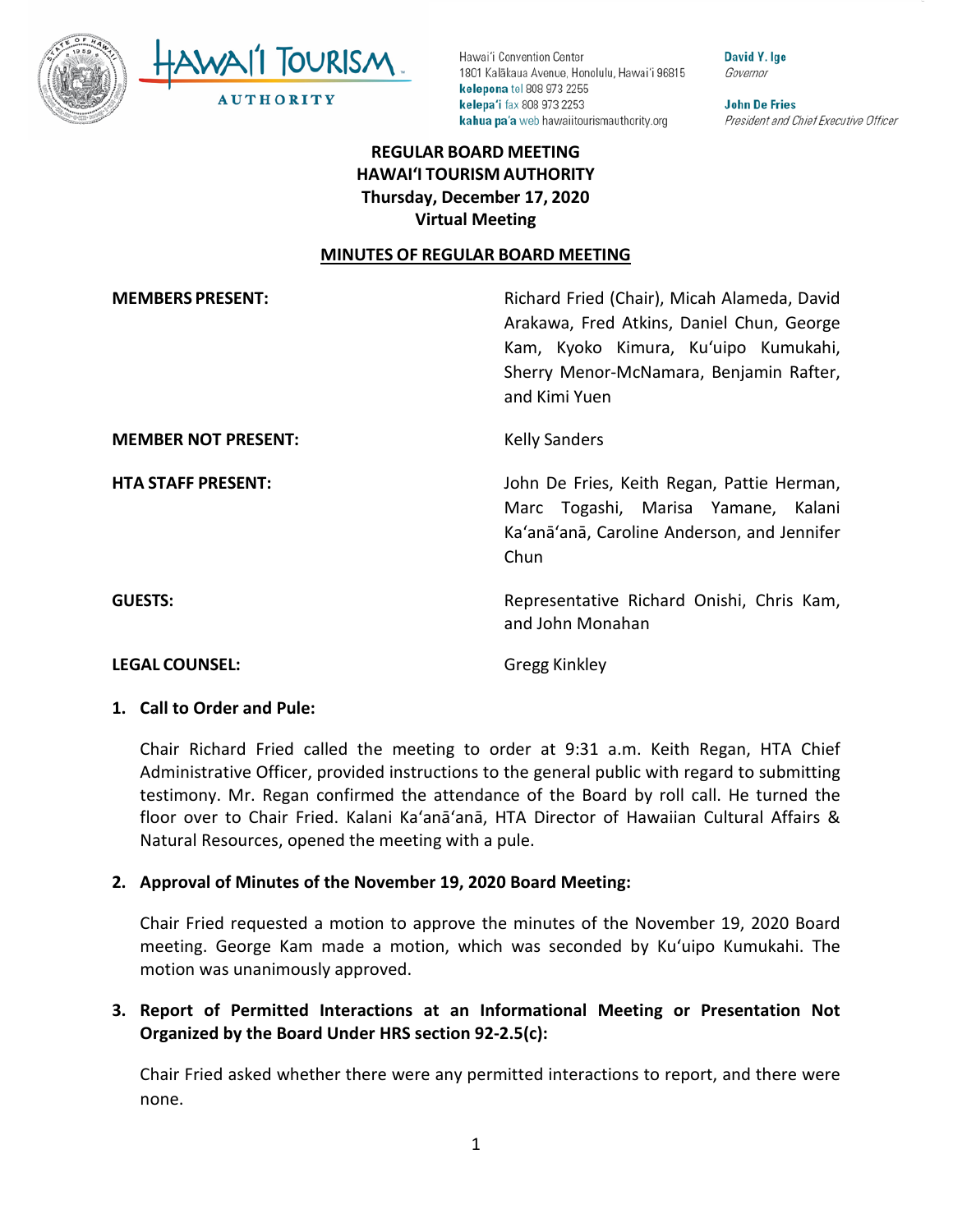



David Y. Ige Governor

**John De Fries** President and Chief Executive Officer

# **REGULAR BOARD MEETING HAWAI'I TOURISM AUTHORITY Thursday, December 17, 2020 Virtual Meeting**

#### **MINUTES OF REGULAR BOARD MEETING**

| <b>MEMBERS PRESENT:</b>    | Richard Fried (Chair), Micah Alameda, David<br>Arakawa, Fred Atkins, Daniel Chun, George<br>Kam, Kyoko Kimura, Ku'uipo Kumukahi,<br>Sherry Menor-McNamara, Benjamin Rafter,<br>and Kimi Yuen |
|----------------------------|----------------------------------------------------------------------------------------------------------------------------------------------------------------------------------------------|
| <b>MEMBER NOT PRESENT:</b> | <b>Kelly Sanders</b>                                                                                                                                                                         |
| <b>HTA STAFF PRESENT:</b>  | John De Fries, Keith Regan, Pattie Herman,<br>Marc Togashi, Marisa Yamane, Kalani<br>Ka'anā'anā, Caroline Anderson, and Jennifer<br>Chun                                                     |
| <b>GUESTS:</b>             | Representative Richard Onishi, Chris Kam,<br>and John Monahan                                                                                                                                |
| <b>LEGAL COUNSEL:</b>      | <b>Gregg Kinkley</b>                                                                                                                                                                         |

#### **1. Call to Order and Pule:**

Chair Richard Fried called the meeting to order at 9:31 a.m. Keith Regan, HTA Chief Administrative Officer, provided instructions to the general public with regard to submitting testimony. Mr. Regan confirmed the attendance of the Board by roll call. He turned the floor over to Chair Fried. Kalani Ka'anā'anā, HTA Director of Hawaiian Cultural Affairs & Natural Resources, opened the meeting with a pule.

#### **2. Approval of Minutes of the November 19, 2020 Board Meeting:**

Chair Fried requested a motion to approve the minutes of the November 19, 2020 Board meeting. George Kam made a motion, which was seconded by Kuʻuipo Kumukahi. The motion was unanimously approved.

# **3. Report of Permitted Interactions at an Informational Meeting or Presentation Not Organized by the Board Under HRS section 92-2.5(c):**

Chair Fried asked whether there were any permitted interactions to report, and there were none.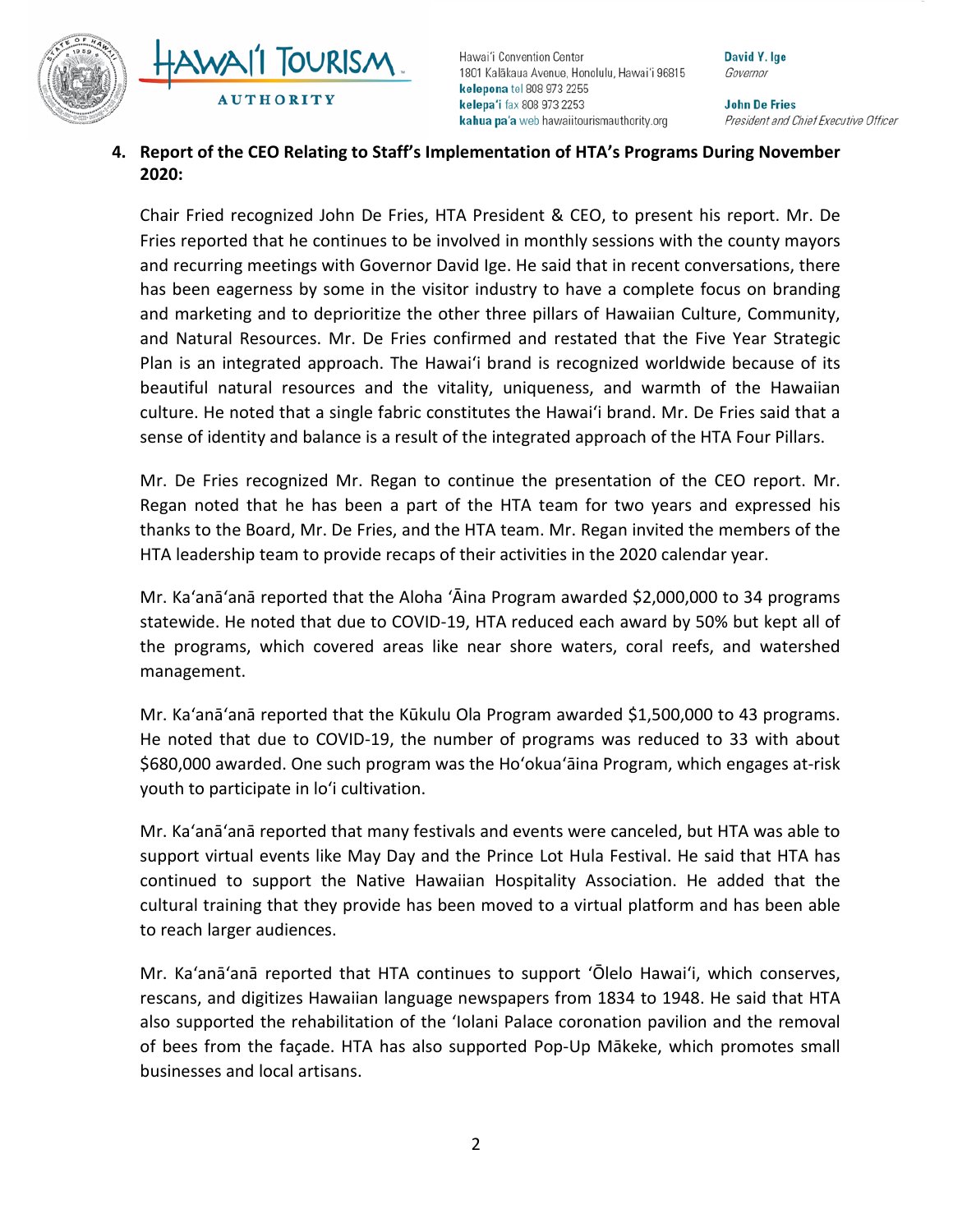



David Y. Ige Governor

**John De Fries** President and Chief Executive Officer

## **4. Report of the CEO Relating to Staff's Implementation of HTA's Programs During November 2020:**

Chair Fried recognized John De Fries, HTA President & CEO, to present his report. Mr. De Fries reported that he continues to be involved in monthly sessions with the county mayors and recurring meetings with Governor David Ige. He said that in recent conversations, there has been eagerness by some in the visitor industry to have a complete focus on branding and marketing and to deprioritize the other three pillars of Hawaiian Culture, Community, and Natural Resources. Mr. De Fries confirmed and restated that the Five Year Strategic Plan is an integrated approach. The Hawai'i brand is recognized worldwide because of its beautiful natural resources and the vitality, uniqueness, and warmth of the Hawaiian culture. He noted that a single fabric constitutes the Hawai'i brand. Mr. De Fries said that a sense of identity and balance is a result of the integrated approach of the HTA Four Pillars.

Mr. De Fries recognized Mr. Regan to continue the presentation of the CEO report. Mr. Regan noted that he has been a part of the HTA team for two years and expressed his thanks to the Board, Mr. De Fries, and the HTA team. Mr. Regan invited the members of the HTA leadership team to provide recaps of their activities in the 2020 calendar year.

Mr. Ka'anā'anā reported that the Aloha 'Āina Program awarded \$2,000,000 to 34 programs statewide. He noted that due to COVID-19, HTA reduced each award by 50% but kept all of the programs, which covered areas like near shore waters, coral reefs, and watershed management.

Mr. Ka'anā'anā reported that the Kūkulu Ola Program awarded \$1,500,000 to 43 programs. He noted that due to COVID-19, the number of programs was reduced to 33 with about \$680,000 awarded. One such program was the Ho'okua'āina Program, which engages at-risk youth to participate in lo'i cultivation.

Mr. Ka'anā'anā reported that many festivals and events were canceled, but HTA was able to support virtual events like May Day and the Prince Lot Hula Festival. He said that HTA has continued to support the Native Hawaiian Hospitality Association. He added that the cultural training that they provide has been moved to a virtual platform and has been able to reach larger audiences.

Mr. Ka'anā'anā reported that HTA continues to support 'Ōlelo Hawai'i, which conserves, rescans, and digitizes Hawaiian language newspapers from 1834 to 1948. He said that HTA also supported the rehabilitation of the 'Iolani Palace coronation pavilion and the removal of bees from the façade. HTA has also supported Pop-Up Mākeke, which promotes small businesses and local artisans.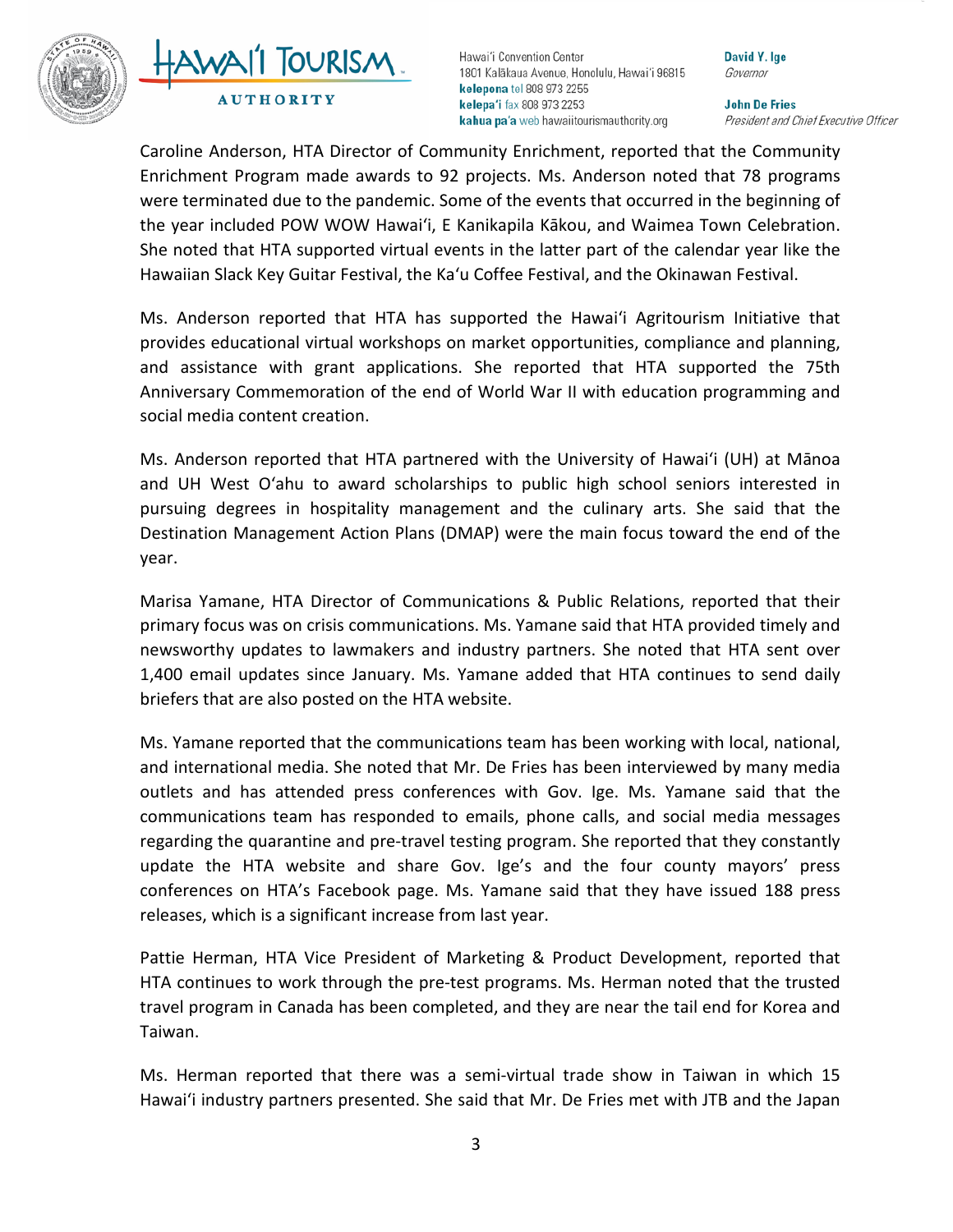

# TOURISM **AUTHORITY**

Hawai'i Convention Center 1801 Kalākaua Avenue, Honolulu, Hawai'i 96815 kelepona tel 808 973 2255 kelepa'i fax 808 973 2253 kahua pa'a web hawaiitourismauthority.org

David Y. Ige Governor

**John De Fries** President and Chief Executive Officer

Caroline Anderson, HTA Director of Community Enrichment, reported that the Community Enrichment Program made awards to 92 projects. Ms. Anderson noted that 78 programs were terminated due to the pandemic. Some of the events that occurred in the beginning of the year included POW WOW Hawai'i, E Kanikapila Kākou, and Waimea Town Celebration. She noted that HTA supported virtual events in the latter part of the calendar year like the Hawaiian Slack Key Guitar Festival, the Ka'u Coffee Festival, and the Okinawan Festival.

Ms. Anderson reported that HTA has supported the Hawai'i Agritourism Initiative that provides educational virtual workshops on market opportunities, compliance and planning, and assistance with grant applications. She reported that HTA supported the 75th Anniversary Commemoration of the end of World War II with education programming and social media content creation.

Ms. Anderson reported that HTA partnered with the University of Hawai'i (UH) at Mānoa and UH West O'ahu to award scholarships to public high school seniors interested in pursuing degrees in hospitality management and the culinary arts. She said that the Destination Management Action Plans (DMAP) were the main focus toward the end of the year.

Marisa Yamane, HTA Director of Communications & Public Relations, reported that their primary focus was on crisis communications. Ms. Yamane said that HTA provided timely and newsworthy updates to lawmakers and industry partners. She noted that HTA sent over 1,400 email updates since January. Ms. Yamane added that HTA continues to send daily briefers that are also posted on the HTA website.

Ms. Yamane reported that the communications team has been working with local, national, and international media. She noted that Mr. De Fries has been interviewed by many media outlets and has attended press conferences with Gov. Ige. Ms. Yamane said that the communications team has responded to emails, phone calls, and social media messages regarding the quarantine and pre-travel testing program. She reported that they constantly update the HTA website and share Gov. Ige's and the four county mayors' press conferences on HTA's Facebook page. Ms. Yamane said that they have issued 188 press releases, which is a significant increase from last year.

Pattie Herman, HTA Vice President of Marketing & Product Development, reported that HTA continues to work through the pre-test programs. Ms. Herman noted that the trusted travel program in Canada has been completed, and they are near the tail end for Korea and Taiwan.

Ms. Herman reported that there was a semi-virtual trade show in Taiwan in which 15 Hawai'i industry partners presented. She said that Mr. De Fries met with JTB and the Japan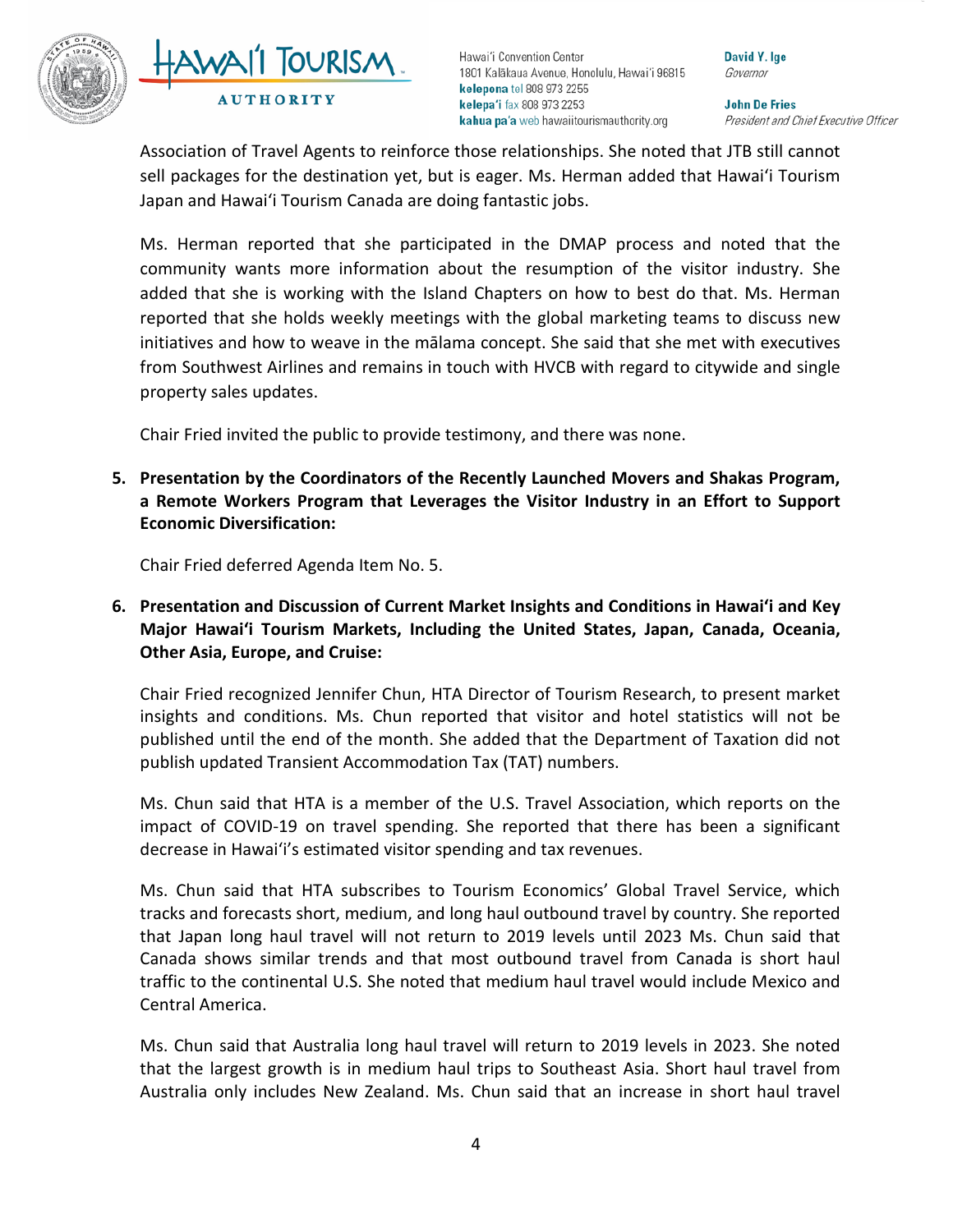



David Y. Ige Governor

**John De Fries** President and Chief Executive Officer

Association of Travel Agents to reinforce those relationships. She noted that JTB still cannot sell packages for the destination yet, but is eager. Ms. Herman added that Hawai'i Tourism Japan and Hawai'i Tourism Canada are doing fantastic jobs.

Ms. Herman reported that she participated in the DMAP process and noted that the community wants more information about the resumption of the visitor industry. She added that she is working with the Island Chapters on how to best do that. Ms. Herman reported that she holds weekly meetings with the global marketing teams to discuss new initiatives and how to weave in the mālama concept. She said that she met with executives from Southwest Airlines and remains in touch with HVCB with regard to citywide and single property sales updates.

Chair Fried invited the public to provide testimony, and there was none.

**5. Presentation by the Coordinators of the Recently Launched Movers and Shakas Program, a Remote Workers Program that Leverages the Visitor Industry in an Effort to Support Economic Diversification:**

Chair Fried deferred Agenda Item No. 5.

**6. Presentation and Discussion of Current Market Insights and Conditions in Hawai'i and Key Major Hawai'i Tourism Markets, Including the United States, Japan, Canada, Oceania, Other Asia, Europe, and Cruise:**

Chair Fried recognized Jennifer Chun, HTA Director of Tourism Research, to present market insights and conditions. Ms. Chun reported that visitor and hotel statistics will not be published until the end of the month. She added that the Department of Taxation did not publish updated Transient Accommodation Tax (TAT) numbers.

Ms. Chun said that HTA is a member of the U.S. Travel Association, which reports on the impact of COVID-19 on travel spending. She reported that there has been a significant decrease in Hawai'i's estimated visitor spending and tax revenues.

Ms. Chun said that HTA subscribes to Tourism Economics' Global Travel Service, which tracks and forecasts short, medium, and long haul outbound travel by country. She reported that Japan long haul travel will not return to 2019 levels until 2023 Ms. Chun said that Canada shows similar trends and that most outbound travel from Canada is short haul traffic to the continental U.S. She noted that medium haul travel would include Mexico and Central America.

Ms. Chun said that Australia long haul travel will return to 2019 levels in 2023. She noted that the largest growth is in medium haul trips to Southeast Asia. Short haul travel from Australia only includes New Zealand. Ms. Chun said that an increase in short haul travel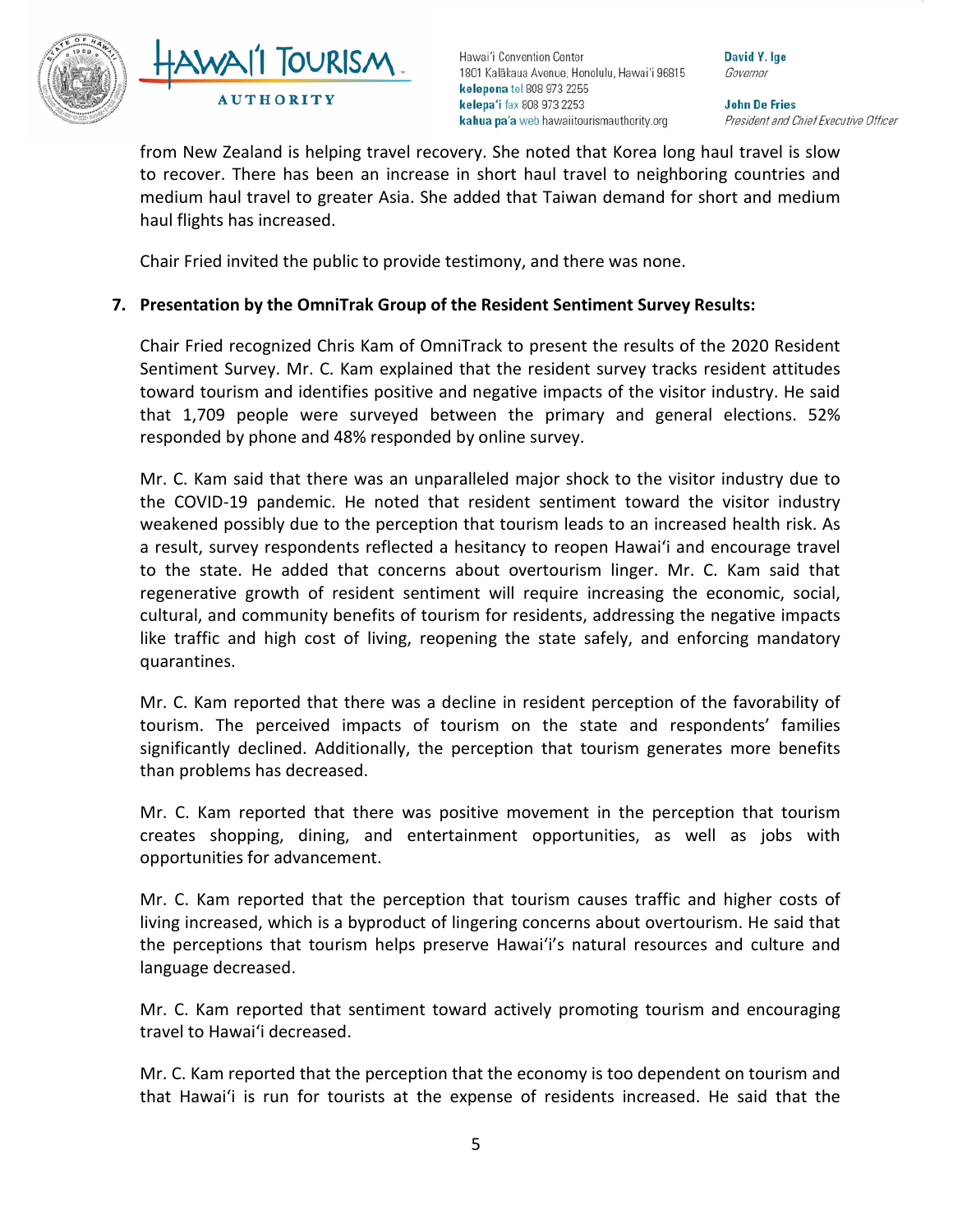



David Y. Ige Governor

**John De Fries** President and Chief Executive Officer

from New Zealand is helping travel recovery. She noted that Korea long haul travel is slow to recover. There has been an increase in short haul travel to neighboring countries and medium haul travel to greater Asia. She added that Taiwan demand for short and medium haul flights has increased.

Chair Fried invited the public to provide testimony, and there was none.

# **7. Presentation by the OmniTrak Group of the Resident Sentiment Survey Results:**

Chair Fried recognized Chris Kam of OmniTrack to present the results of the 2020 Resident Sentiment Survey. Mr. C. Kam explained that the resident survey tracks resident attitudes toward tourism and identifies positive and negative impacts of the visitor industry. He said that 1,709 people were surveyed between the primary and general elections. 52% responded by phone and 48% responded by online survey.

Mr. C. Kam said that there was an unparalleled major shock to the visitor industry due to the COVID-19 pandemic. He noted that resident sentiment toward the visitor industry weakened possibly due to the perception that tourism leads to an increased health risk. As a result, survey respondents reflected a hesitancy to reopen Hawai'i and encourage travel to the state. He added that concerns about overtourism linger. Mr. C. Kam said that regenerative growth of resident sentiment will require increasing the economic, social, cultural, and community benefits of tourism for residents, addressing the negative impacts like traffic and high cost of living, reopening the state safely, and enforcing mandatory quarantines.

Mr. C. Kam reported that there was a decline in resident perception of the favorability of tourism. The perceived impacts of tourism on the state and respondents' families significantly declined. Additionally, the perception that tourism generates more benefits than problems has decreased.

Mr. C. Kam reported that there was positive movement in the perception that tourism creates shopping, dining, and entertainment opportunities, as well as jobs with opportunities for advancement.

Mr. C. Kam reported that the perception that tourism causes traffic and higher costs of living increased, which is a byproduct of lingering concerns about overtourism. He said that the perceptions that tourism helps preserve Hawai'i's natural resources and culture and language decreased.

Mr. C. Kam reported that sentiment toward actively promoting tourism and encouraging travel to Hawai'i decreased.

Mr. C. Kam reported that the perception that the economy is too dependent on tourism and that Hawai'i is run for tourists at the expense of residents increased. He said that the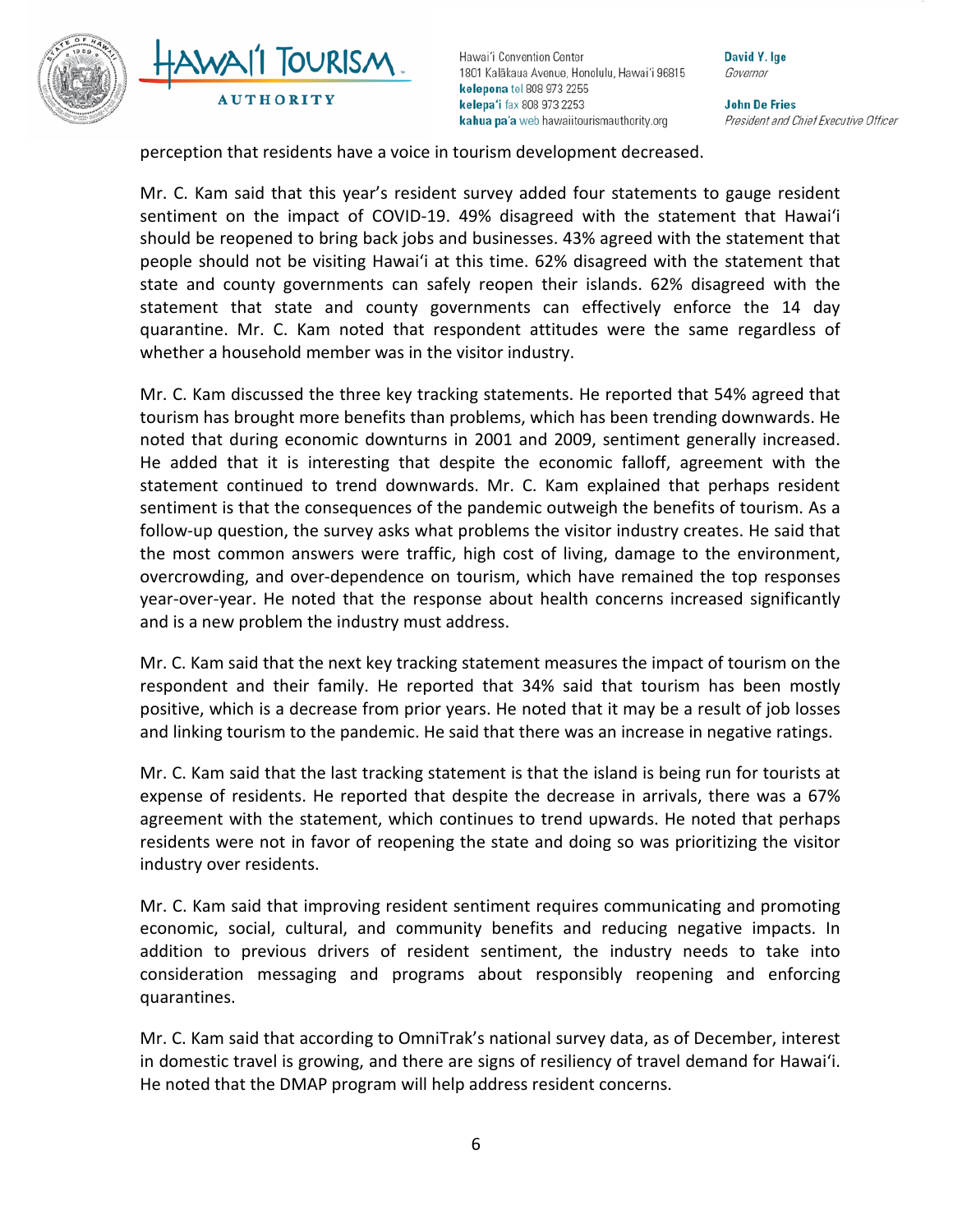



David Y. Ige Governor

**John De Fries** President and Chief Executive Officer

perception that residents have a voice in tourism development decreased.

Mr. C. Kam said that this year's resident survey added four statements to gauge resident sentiment on the impact of COVID-19. 49% disagreed with the statement that Hawai'i should be reopened to bring back jobs and businesses. 43% agreed with the statement that people should not be visiting Hawai'i at this time. 62% disagreed with the statement that state and county governments can safely reopen their islands. 62% disagreed with the statement that state and county governments can effectively enforce the 14 day quarantine. Mr. C. Kam noted that respondent attitudes were the same regardless of whether a household member was in the visitor industry.

Mr. C. Kam discussed the three key tracking statements. He reported that 54% agreed that tourism has brought more benefits than problems, which has been trending downwards. He noted that during economic downturns in 2001 and 2009, sentiment generally increased. He added that it is interesting that despite the economic falloff, agreement with the statement continued to trend downwards. Mr. C. Kam explained that perhaps resident sentiment is that the consequences of the pandemic outweigh the benefits of tourism. As a follow-up question, the survey asks what problems the visitor industry creates. He said that the most common answers were traffic, high cost of living, damage to the environment, overcrowding, and over-dependence on tourism, which have remained the top responses year-over-year. He noted that the response about health concerns increased significantly and is a new problem the industry must address.

Mr. C. Kam said that the next key tracking statement measures the impact of tourism on the respondent and their family. He reported that 34% said that tourism has been mostly positive, which is a decrease from prior years. He noted that it may be a result of job losses and linking tourism to the pandemic. He said that there was an increase in negative ratings.

Mr. C. Kam said that the last tracking statement is that the island is being run for tourists at expense of residents. He reported that despite the decrease in arrivals, there was a 67% agreement with the statement, which continues to trend upwards. He noted that perhaps residents were not in favor of reopening the state and doing so was prioritizing the visitor industry over residents.

Mr. C. Kam said that improving resident sentiment requires communicating and promoting economic, social, cultural, and community benefits and reducing negative impacts. In addition to previous drivers of resident sentiment, the industry needs to take into consideration messaging and programs about responsibly reopening and enforcing quarantines.

Mr. C. Kam said that according to OmniTrak's national survey data, as of December, interest in domestic travel is growing, and there are signs of resiliency of travel demand for Hawai'i. He noted that the DMAP program will help address resident concerns.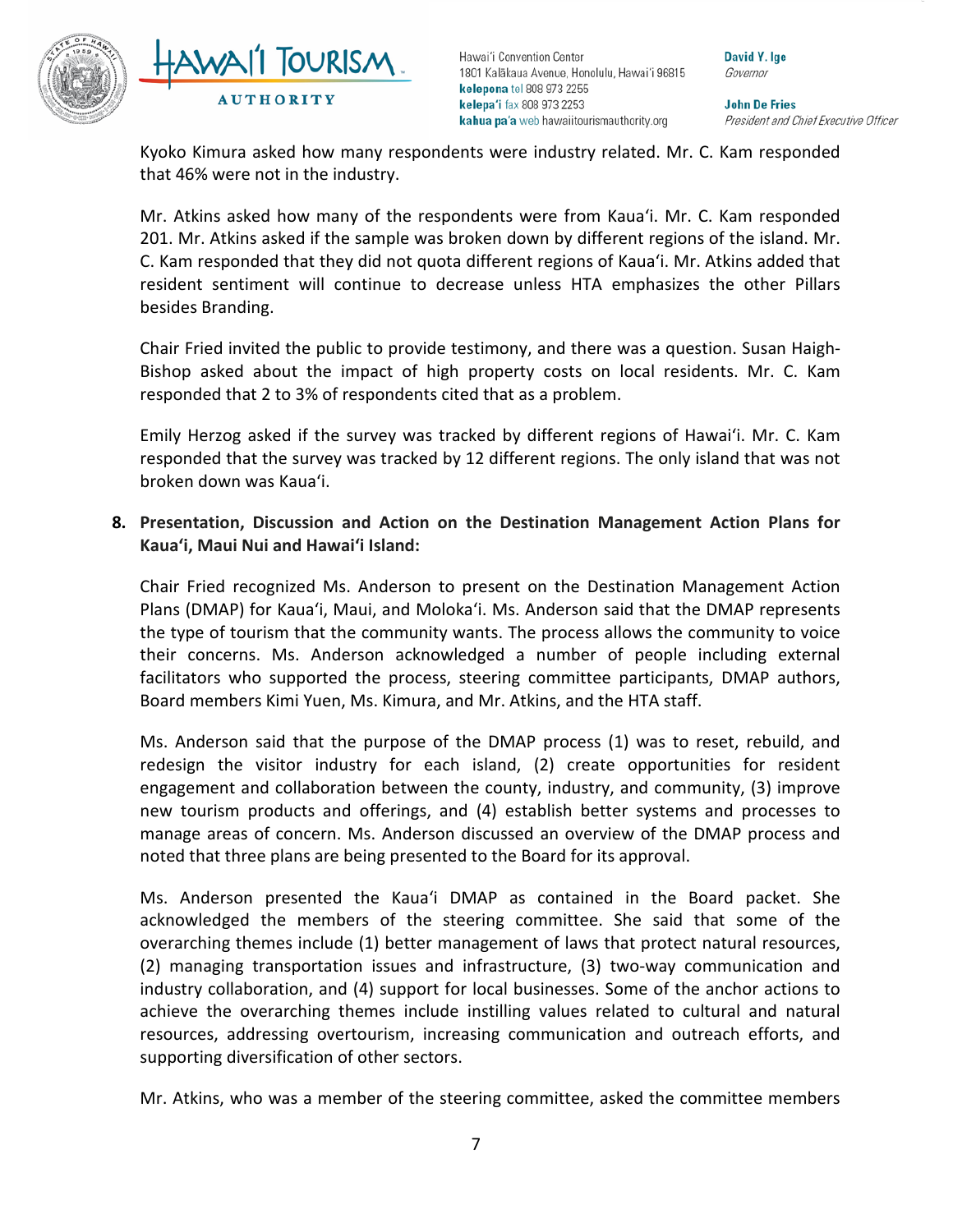

TOURISM **AUTHORITY** 

Hawai'i Convention Center 1801 Kalākaua Avenue, Honolulu, Hawai'i 96815 kelepona tel 808 973 2255 kelepa'i fax 808 973 2253 kahua pa'a web hawaiitourismauthority.org

David Y. Ige Governor

**John De Fries** President and Chief Executive Officer

Kyoko Kimura asked how many respondents were industry related. Mr. C. Kam responded that 46% were not in the industry.

Mr. Atkins asked how many of the respondents were from Kaua'i. Mr. C. Kam responded 201. Mr. Atkins asked if the sample was broken down by different regions of the island. Mr. C. Kam responded that they did not quota different regions of Kaua'i. Mr. Atkins added that resident sentiment will continue to decrease unless HTA emphasizes the other Pillars besides Branding.

Chair Fried invited the public to provide testimony, and there was a question. Susan Haigh-Bishop asked about the impact of high property costs on local residents. Mr. C. Kam responded that 2 to 3% of respondents cited that as a problem.

Emily Herzog asked if the survey was tracked by different regions of Hawai'i. Mr. C. Kam responded that the survey was tracked by 12 different regions. The only island that was not broken down was Kaua'i.

**8. Presentation, Discussion and Action on the Destination Management Action Plans for Kauaʻi, Maui Nui and Hawai'i Island:**

Chair Fried recognized Ms. Anderson to present on the Destination Management Action Plans (DMAP) for Kaua'i, Maui, and Moloka'i. Ms. Anderson said that the DMAP represents the type of tourism that the community wants. The process allows the community to voice their concerns. Ms. Anderson acknowledged a number of people including external facilitators who supported the process, steering committee participants, DMAP authors, Board members Kimi Yuen, Ms. Kimura, and Mr. Atkins, and the HTA staff.

Ms. Anderson said that the purpose of the DMAP process (1) was to reset, rebuild, and redesign the visitor industry for each island, (2) create opportunities for resident engagement and collaboration between the county, industry, and community, (3) improve new tourism products and offerings, and (4) establish better systems and processes to manage areas of concern. Ms. Anderson discussed an overview of the DMAP process and noted that three plans are being presented to the Board for its approval.

Ms. Anderson presented the Kaua'i DMAP as contained in the Board packet. She acknowledged the members of the steering committee. She said that some of the overarching themes include (1) better management of laws that protect natural resources, (2) managing transportation issues and infrastructure, (3) two-way communication and industry collaboration, and (4) support for local businesses. Some of the anchor actions to achieve the overarching themes include instilling values related to cultural and natural resources, addressing overtourism, increasing communication and outreach efforts, and supporting diversification of other sectors.

Mr. Atkins, who was a member of the steering committee, asked the committee members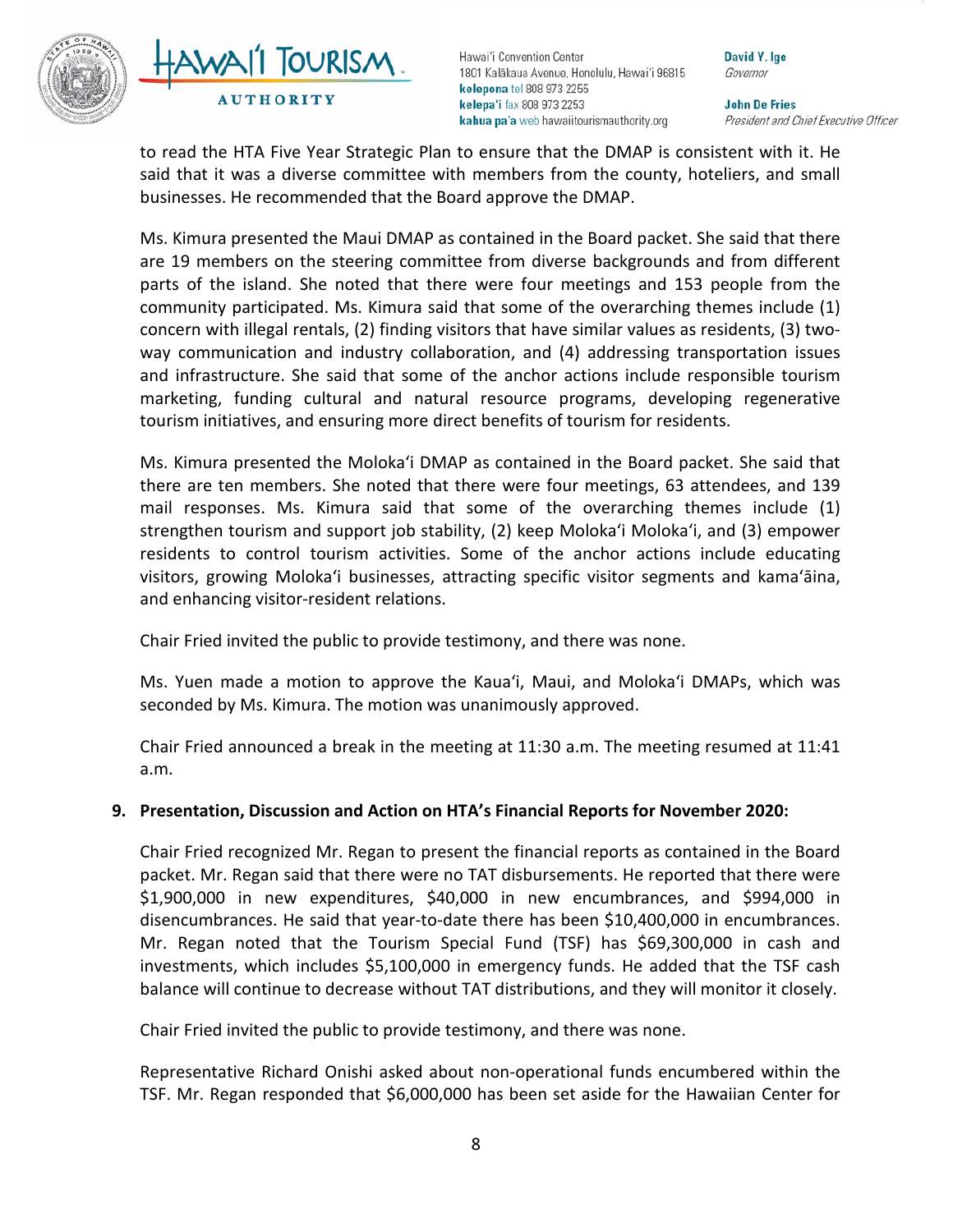



David Y. Ige Governor

**John De Fries** President and Chief Executive Officer

to read the HTA Five Year Strategic Plan to ensure that the DMAP is consistent with it. He said that it was a diverse committee with members from the county, hoteliers, and small businesses. He recommended that the Board approve the DMAP.

Ms. Kimura presented the Maui DMAP as contained in the Board packet. She said that there are 19 members on the steering committee from diverse backgrounds and from different parts of the island. She noted that there were four meetings and 153 people from the community participated. Ms. Kimura said that some of the overarching themes include (1) concern with illegal rentals, (2) finding visitors that have similar values as residents, (3) twoway communication and industry collaboration, and (4) addressing transportation issues and infrastructure. She said that some of the anchor actions include responsible tourism marketing, funding cultural and natural resource programs, developing regenerative tourism initiatives, and ensuring more direct benefits of tourism for residents.

Ms. Kimura presented the Moloka'i DMAP as contained in the Board packet. She said that there are ten members. She noted that there were four meetings, 63 attendees, and 139 mail responses. Ms. Kimura said that some of the overarching themes include (1) strengthen tourism and support job stability, (2) keep Moloka'i Moloka'i, and (3) empower residents to control tourism activities. Some of the anchor actions include educating visitors, growing Moloka'i businesses, attracting specific visitor segments and kama'āina, and enhancing visitor-resident relations.

Chair Fried invited the public to provide testimony, and there was none.

Ms. Yuen made a motion to approve the Kaua'i, Maui, and Moloka'i DMAPs, which was seconded by Ms. Kimura. The motion was unanimously approved.

Chair Fried announced a break in the meeting at 11:30 a.m. The meeting resumed at 11:41 a.m.

#### **9. Presentation, Discussion and Action on HTA's Financial Reports for November 2020:**

Chair Fried recognized Mr. Regan to present the financial reports as contained in the Board packet. Mr. Regan said that there were no TAT disbursements. He reported that there were \$1,900,000 in new expenditures, \$40,000 in new encumbrances, and \$994,000 in disencumbrances. He said that year-to-date there has been \$10,400,000 in encumbrances. Mr. Regan noted that the Tourism Special Fund (TSF) has \$69,300,000 in cash and investments, which includes \$5,100,000 in emergency funds. He added that the TSF cash balance will continue to decrease without TAT distributions, and they will monitor it closely.

Chair Fried invited the public to provide testimony, and there was none.

Representative Richard Onishi asked about non-operational funds encumbered within the TSF. Mr. Regan responded that \$6,000,000 has been set aside for the Hawaiian Center for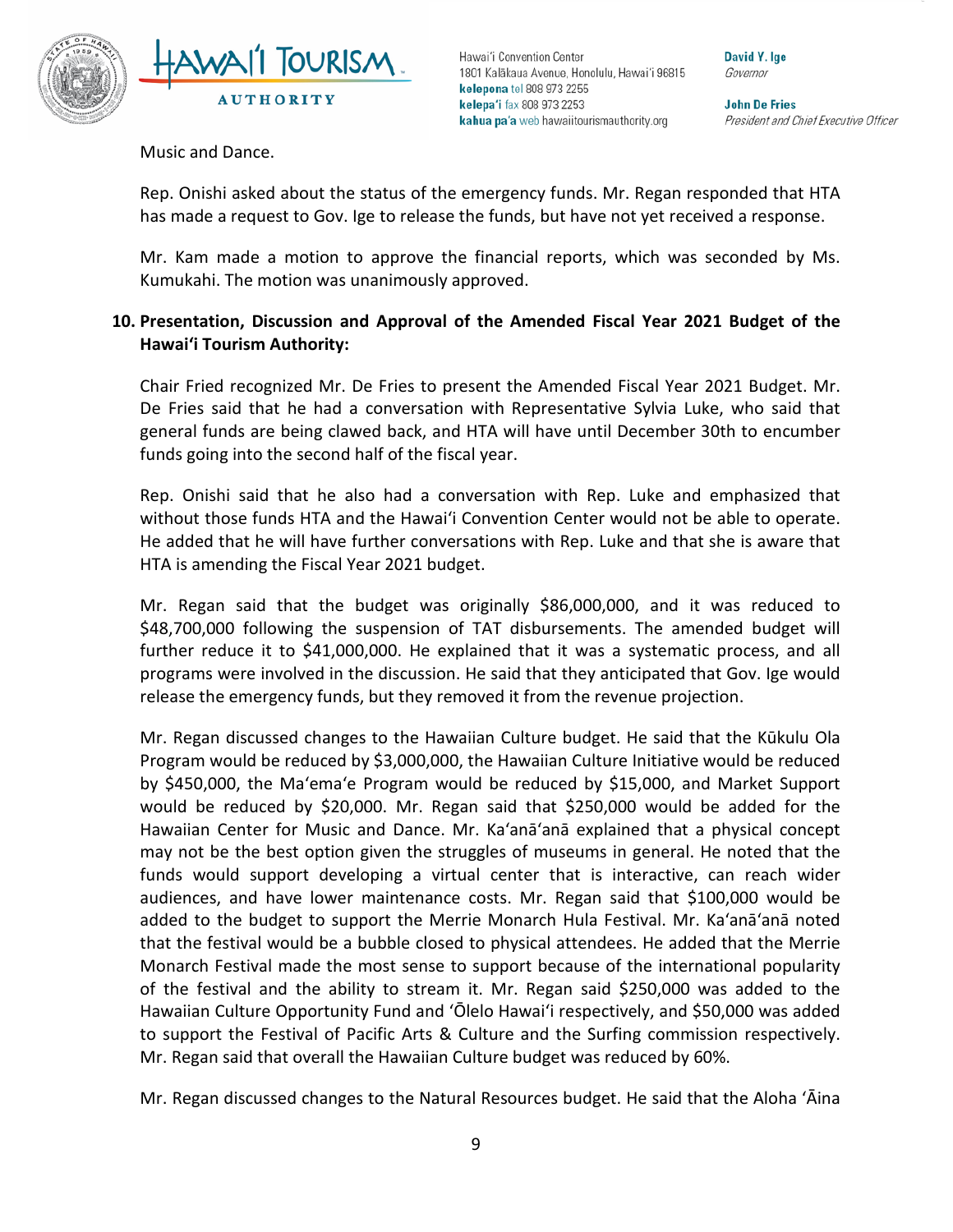



David Y. Ige Governor

**John De Fries** President and Chief Executive Officer

Music and Dance.

Rep. Onishi asked about the status of the emergency funds. Mr. Regan responded that HTA has made a request to Gov. Ige to release the funds, but have not yet received a response.

Mr. Kam made a motion to approve the financial reports, which was seconded by Ms. Kumukahi. The motion was unanimously approved.

## **10. Presentation, Discussion and Approval of the Amended Fiscal Year 2021 Budget of the Hawai'i Tourism Authority:**

Chair Fried recognized Mr. De Fries to present the Amended Fiscal Year 2021 Budget. Mr. De Fries said that he had a conversation with Representative Sylvia Luke, who said that general funds are being clawed back, and HTA will have until December 30th to encumber funds going into the second half of the fiscal year.

Rep. Onishi said that he also had a conversation with Rep. Luke and emphasized that without those funds HTA and the Hawai'i Convention Center would not be able to operate. He added that he will have further conversations with Rep. Luke and that she is aware that HTA is amending the Fiscal Year 2021 budget.

Mr. Regan said that the budget was originally \$86,000,000, and it was reduced to \$48,700,000 following the suspension of TAT disbursements. The amended budget will further reduce it to \$41,000,000. He explained that it was a systematic process, and all programs were involved in the discussion. He said that they anticipated that Gov. Ige would release the emergency funds, but they removed it from the revenue projection.

Mr. Regan discussed changes to the Hawaiian Culture budget. He said that the Kūkulu Ola Program would be reduced by \$3,000,000, the Hawaiian Culture Initiative would be reduced by \$450,000, the Ma'ema'e Program would be reduced by \$15,000, and Market Support would be reduced by \$20,000. Mr. Regan said that \$250,000 would be added for the Hawaiian Center for Music and Dance. Mr. Ka'anā'anā explained that a physical concept may not be the best option given the struggles of museums in general. He noted that the funds would support developing a virtual center that is interactive, can reach wider audiences, and have lower maintenance costs. Mr. Regan said that \$100,000 would be added to the budget to support the Merrie Monarch Hula Festival. Mr. Ka'anā'anā noted that the festival would be a bubble closed to physical attendees. He added that the Merrie Monarch Festival made the most sense to support because of the international popularity of the festival and the ability to stream it. Mr. Regan said \$250,000 was added to the Hawaiian Culture Opportunity Fund and 'Ōlelo Hawai'i respectively, and \$50,000 was added to support the Festival of Pacific Arts & Culture and the Surfing commission respectively. Mr. Regan said that overall the Hawaiian Culture budget was reduced by 60%.

Mr. Regan discussed changes to the Natural Resources budget. He said that the Aloha 'Āina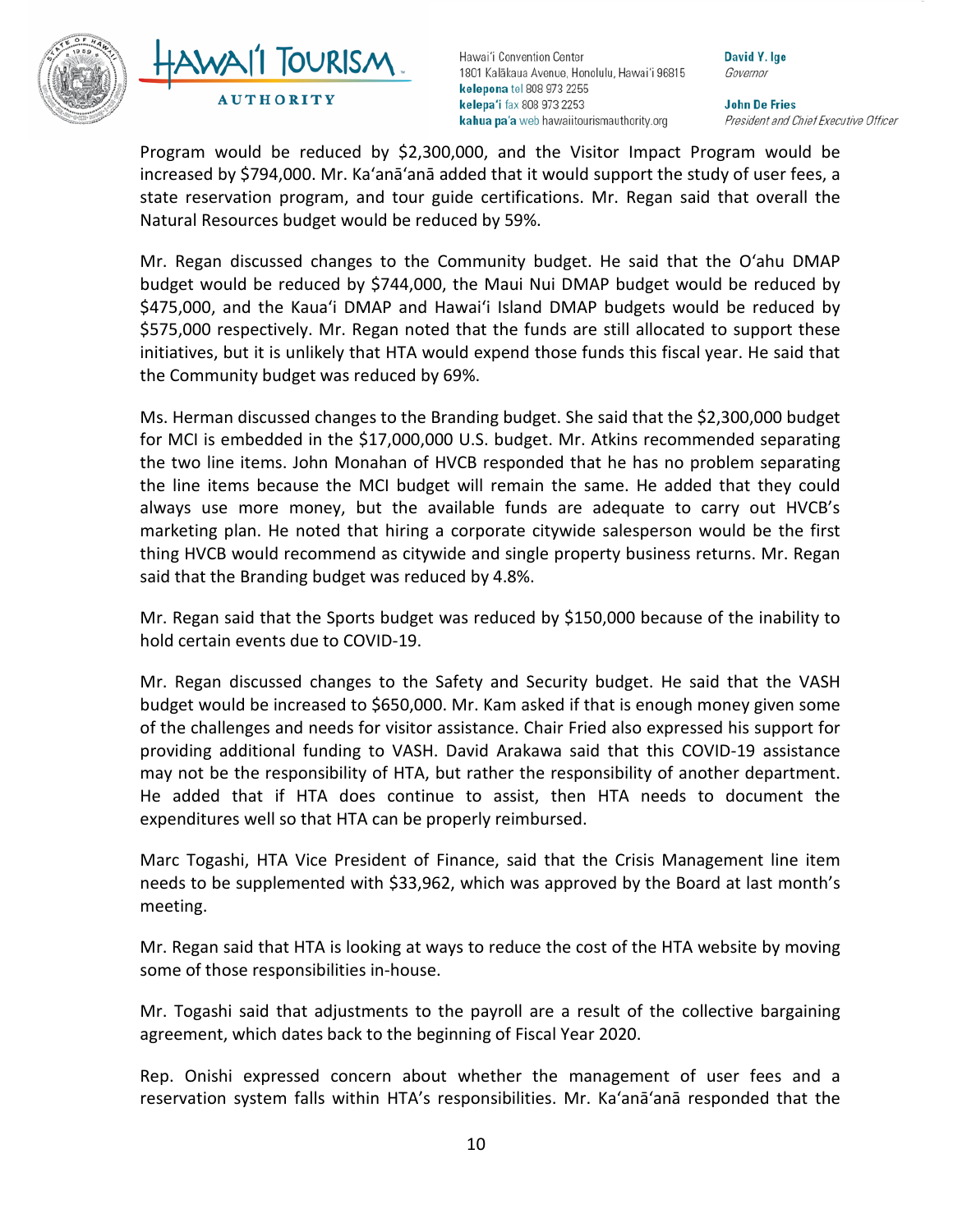



David Y. Ige Governor

**John De Fries** President and Chief Executive Officer

Program would be reduced by \$2,300,000, and the Visitor Impact Program would be increased by \$794,000. Mr. Ka'anā'anā added that it would support the study of user fees, a state reservation program, and tour guide certifications. Mr. Regan said that overall the Natural Resources budget would be reduced by 59%.

Mr. Regan discussed changes to the Community budget. He said that the O'ahu DMAP budget would be reduced by \$744,000, the Maui Nui DMAP budget would be reduced by \$475,000, and the Kaua'i DMAP and Hawai'i Island DMAP budgets would be reduced by \$575,000 respectively. Mr. Regan noted that the funds are still allocated to support these initiatives, but it is unlikely that HTA would expend those funds this fiscal year. He said that the Community budget was reduced by 69%.

Ms. Herman discussed changes to the Branding budget. She said that the \$2,300,000 budget for MCI is embedded in the \$17,000,000 U.S. budget. Mr. Atkins recommended separating the two line items. John Monahan of HVCB responded that he has no problem separating the line items because the MCI budget will remain the same. He added that they could always use more money, but the available funds are adequate to carry out HVCB's marketing plan. He noted that hiring a corporate citywide salesperson would be the first thing HVCB would recommend as citywide and single property business returns. Mr. Regan said that the Branding budget was reduced by 4.8%.

Mr. Regan said that the Sports budget was reduced by \$150,000 because of the inability to hold certain events due to COVID-19.

Mr. Regan discussed changes to the Safety and Security budget. He said that the VASH budget would be increased to \$650,000. Mr. Kam asked if that is enough money given some of the challenges and needs for visitor assistance. Chair Fried also expressed his support for providing additional funding to VASH. David Arakawa said that this COVID-19 assistance may not be the responsibility of HTA, but rather the responsibility of another department. He added that if HTA does continue to assist, then HTA needs to document the expenditures well so that HTA can be properly reimbursed.

Marc Togashi, HTA Vice President of Finance, said that the Crisis Management line item needs to be supplemented with \$33,962, which was approved by the Board at last month's meeting.

Mr. Regan said that HTA is looking at ways to reduce the cost of the HTA website by moving some of those responsibilities in-house.

Mr. Togashi said that adjustments to the payroll are a result of the collective bargaining agreement, which dates back to the beginning of Fiscal Year 2020.

Rep. Onishi expressed concern about whether the management of user fees and a reservation system falls within HTA's responsibilities. Mr. Ka'anā'anā responded that the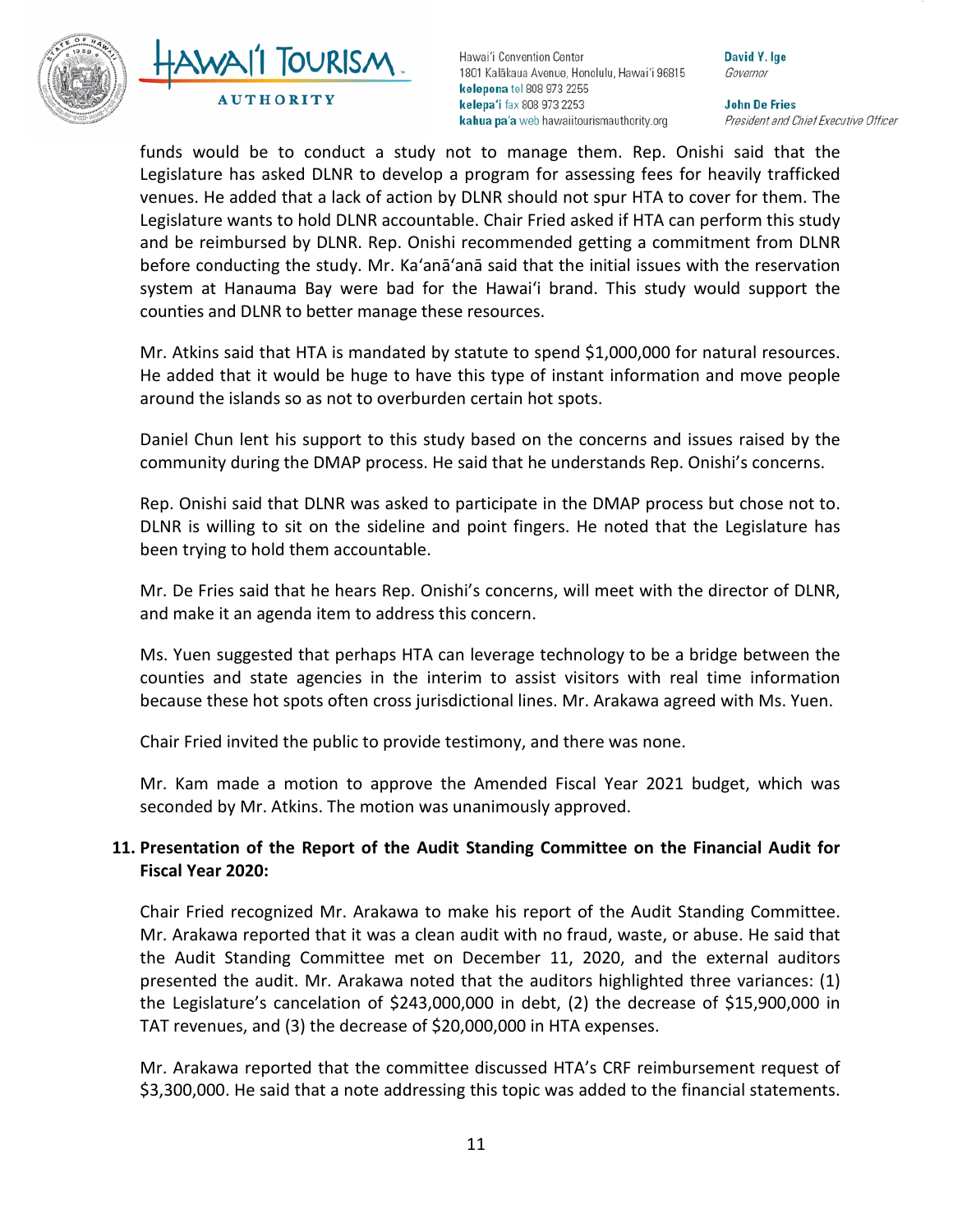



David Y. Ige Governor

**John De Fries** President and Chief Executive Officer

funds would be to conduct a study not to manage them. Rep. Onishi said that the Legislature has asked DLNR to develop a program for assessing fees for heavily trafficked venues. He added that a lack of action by DLNR should not spur HTA to cover for them. The Legislature wants to hold DLNR accountable. Chair Fried asked if HTA can perform this study and be reimbursed by DLNR. Rep. Onishi recommended getting a commitment from DLNR before conducting the study. Mr. Ka'anā'anā said that the initial issues with the reservation system at Hanauma Bay were bad for the Hawai'i brand. This study would support the counties and DLNR to better manage these resources.

Mr. Atkins said that HTA is mandated by statute to spend \$1,000,000 for natural resources. He added that it would be huge to have this type of instant information and move people around the islands so as not to overburden certain hot spots.

Daniel Chun lent his support to this study based on the concerns and issues raised by the community during the DMAP process. He said that he understands Rep. Onishi's concerns.

Rep. Onishi said that DLNR was asked to participate in the DMAP process but chose not to. DLNR is willing to sit on the sideline and point fingers. He noted that the Legislature has been trying to hold them accountable.

Mr. De Fries said that he hears Rep. Onishi's concerns, will meet with the director of DLNR, and make it an agenda item to address this concern.

Ms. Yuen suggested that perhaps HTA can leverage technology to be a bridge between the counties and state agencies in the interim to assist visitors with real time information because these hot spots often cross jurisdictional lines. Mr. Arakawa agreed with Ms. Yuen.

Chair Fried invited the public to provide testimony, and there was none.

Mr. Kam made a motion to approve the Amended Fiscal Year 2021 budget, which was seconded by Mr. Atkins. The motion was unanimously approved.

# **11. Presentation of the Report of the Audit Standing Committee on the Financial Audit for Fiscal Year 2020:**

Chair Fried recognized Mr. Arakawa to make his report of the Audit Standing Committee. Mr. Arakawa reported that it was a clean audit with no fraud, waste, or abuse. He said that the Audit Standing Committee met on December 11, 2020, and the external auditors presented the audit. Mr. Arakawa noted that the auditors highlighted three variances: (1) the Legislature's cancelation of \$243,000,000 in debt, (2) the decrease of \$15,900,000 in TAT revenues, and (3) the decrease of \$20,000,000 in HTA expenses.

Mr. Arakawa reported that the committee discussed HTA's CRF reimbursement request of \$3,300,000. He said that a note addressing this topic was added to the financial statements.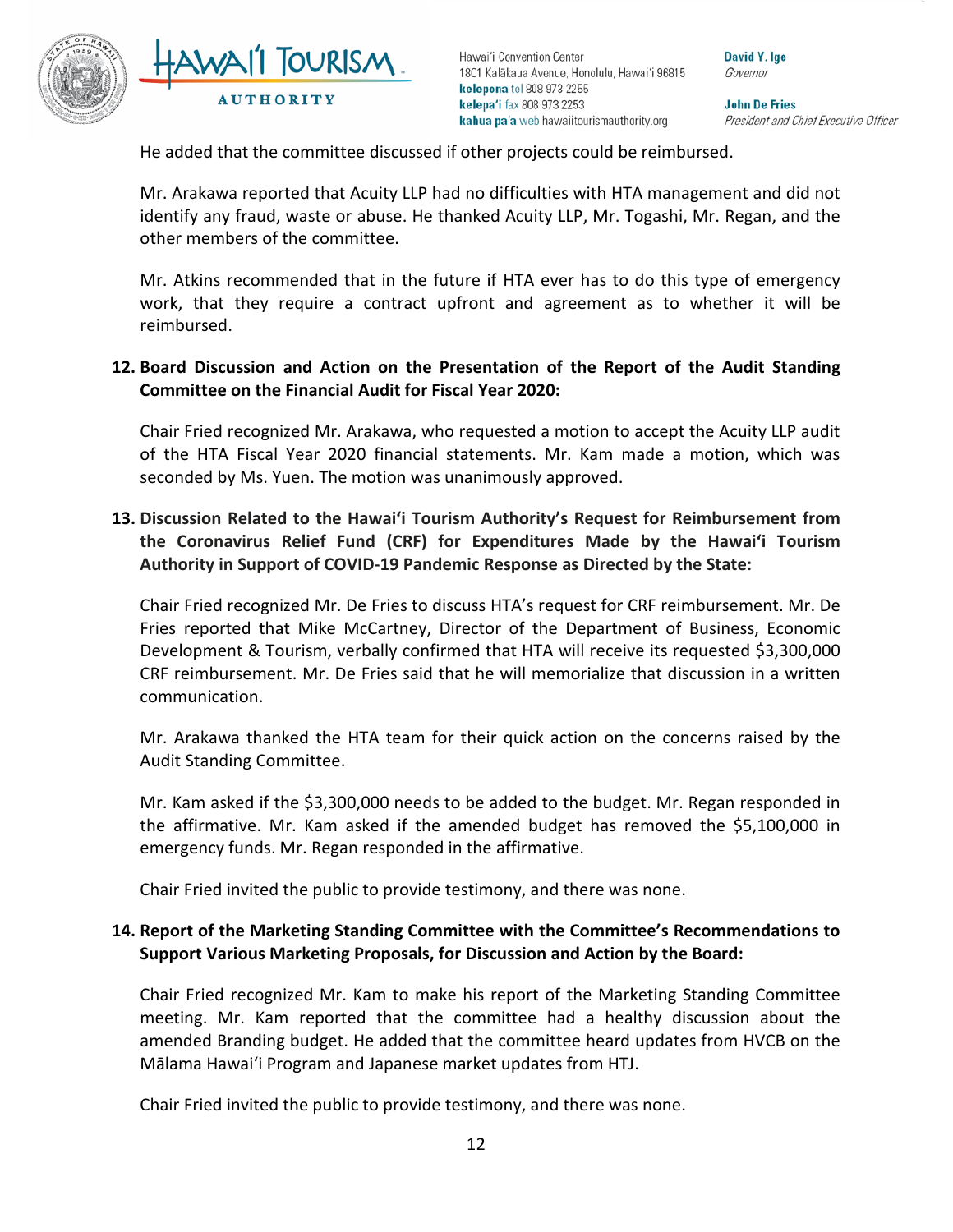



David Y. Ige Governor

**John De Fries** President and Chief Executive Officer

He added that the committee discussed if other projects could be reimbursed.

Mr. Arakawa reported that Acuity LLP had no difficulties with HTA management and did not identify any fraud, waste or abuse. He thanked Acuity LLP, Mr. Togashi, Mr. Regan, and the other members of the committee.

Mr. Atkins recommended that in the future if HTA ever has to do this type of emergency work, that they require a contract upfront and agreement as to whether it will be reimbursed.

## **12. Board Discussion and Action on the Presentation of the Report of the Audit Standing Committee on the Financial Audit for Fiscal Year 2020:**

Chair Fried recognized Mr. Arakawa, who requested a motion to accept the Acuity LLP audit of the HTA Fiscal Year 2020 financial statements. Mr. Kam made a motion, which was seconded by Ms. Yuen. The motion was unanimously approved.

# **13. Discussion Related to the Hawai'i Tourism Authority's Request for Reimbursement from the Coronavirus Relief Fund (CRF) for Expenditures Made by the Hawai'i Tourism Authority in Support of COVID-19 Pandemic Response as Directed by the State:**

Chair Fried recognized Mr. De Fries to discuss HTA's request for CRF reimbursement. Mr. De Fries reported that Mike McCartney, Director of the Department of Business, Economic Development & Tourism, verbally confirmed that HTA will receive its requested \$3,300,000 CRF reimbursement. Mr. De Fries said that he will memorialize that discussion in a written communication.

Mr. Arakawa thanked the HTA team for their quick action on the concerns raised by the Audit Standing Committee.

Mr. Kam asked if the \$3,300,000 needs to be added to the budget. Mr. Regan responded in the affirmative. Mr. Kam asked if the amended budget has removed the \$5,100,000 in emergency funds. Mr. Regan responded in the affirmative.

Chair Fried invited the public to provide testimony, and there was none.

# **14. Report of the Marketing Standing Committee with the Committee's Recommendations to Support Various Marketing Proposals, for Discussion and Action by the Board:**

Chair Fried recognized Mr. Kam to make his report of the Marketing Standing Committee meeting. Mr. Kam reported that the committee had a healthy discussion about the amended Branding budget. He added that the committee heard updates from HVCB on the Mālama Hawai'i Program and Japanese market updates from HTJ.

Chair Fried invited the public to provide testimony, and there was none.